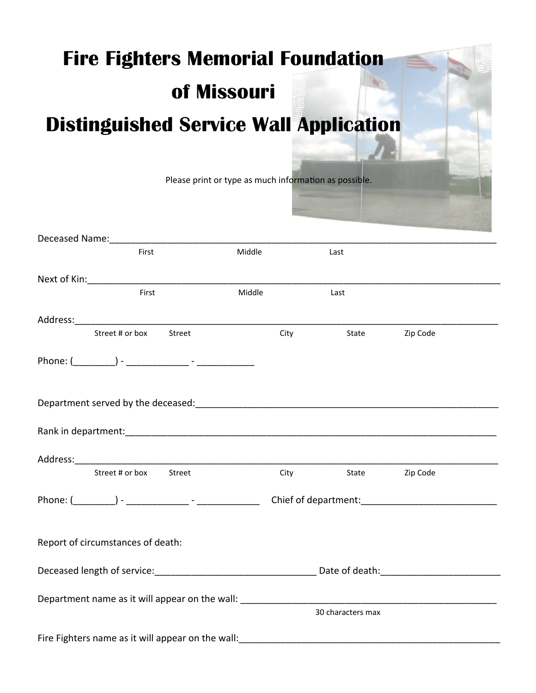## **Fire Fighters Memorial Foundation of Missouri Distinguished Service Wall Application**

|                                                                                                                 |        | Please print or type as much information as possible. |                   |          |  |
|-----------------------------------------------------------------------------------------------------------------|--------|-------------------------------------------------------|-------------------|----------|--|
|                                                                                                                 |        |                                                       |                   |          |  |
|                                                                                                                 |        |                                                       |                   |          |  |
| First                                                                                                           |        | Middle                                                | Last              |          |  |
|                                                                                                                 |        |                                                       |                   |          |  |
| First                                                                                                           |        | Middle                                                | Last              |          |  |
|                                                                                                                 |        |                                                       |                   |          |  |
| Street # or box                                                                                                 | Street | City                                                  | State             | Zip Code |  |
|                                                                                                                 |        |                                                       |                   |          |  |
| Department served by the deceased: entertainment of the server of the server of the server of the server of the |        |                                                       |                   |          |  |
|                                                                                                                 |        |                                                       |                   |          |  |
|                                                                                                                 |        |                                                       |                   |          |  |
| Street # or box                                                                                                 | Street | <b>City City</b>                                      | State Zip Code    |          |  |
|                                                                                                                 |        |                                                       |                   |          |  |
| Report of circumstances of death:                                                                               |        |                                                       |                   |          |  |
|                                                                                                                 |        |                                                       |                   |          |  |
|                                                                                                                 |        |                                                       |                   |          |  |
|                                                                                                                 |        |                                                       | 30 characters max |          |  |
|                                                                                                                 |        |                                                       |                   |          |  |